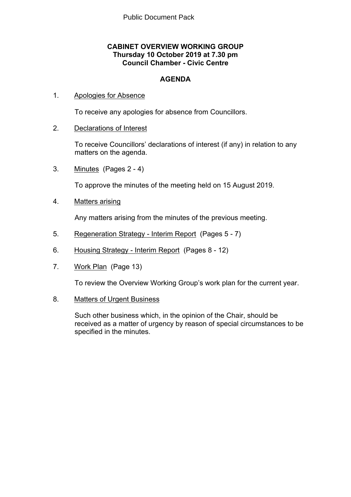## **CABINET OVERVIEW WORKING GROUP Thursday 10 October 2019 at 7.30 pm Council Chamber - Civic Centre**

## **AGENDA**

### 1. Apologies for Absence

To receive any apologies for absence from Councillors.

## 2. Declarations of Interest

To receive Councillors' declarations of interest (if any) in relation to any matters on the agenda.

3. Minutes(Pages 2 - 4)

To approve the minutes of the meeting held on 15 August 2019.

4. Matters arising

Any matters arising from the minutes of the previous meeting.

- 5. Regeneration Strategy Interim Report(Pages 5 7)
- 6. Housing Strategy Interim Report(Pages 8 12)
- 7. Work Plan(Page 13)

To review the Overview Working Group's work plan for the current year.

8. Matters of Urgent Business

Such other business which, in the opinion of the Chair, should be received as a matter of urgency by reason of special circumstances to be specified in the minutes.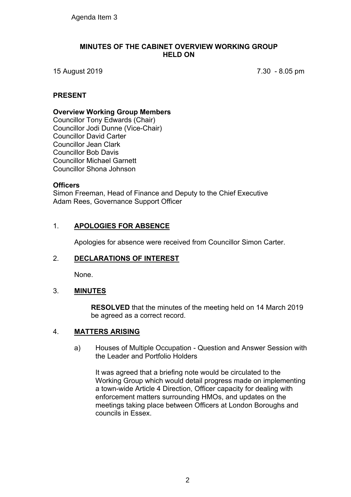#### **MINUTES OF THE CABINET OVERVIEW WORKING GROUP HELD ON**

15 August 2019 7.30 - 8.05 pm

### **PRESENT**

#### **Overview Working Group Members**

Councillor Tony Edwards (Chair) Councillor Jodi Dunne (Vice-Chair) Councillor David Carter Councillor Jean Clark Councillor Bob Davis Councillor Michael Garnett Councillor Shona Johnson

#### **Officers**

Simon Freeman, Head of Finance and Deputy to the Chief Executive Adam Rees, Governance Support Officer

## 1. **APOLOGIES FOR ABSENCE**

Apologies for absence were received from Councillor Simon Carter.

#### 2. **DECLARATIONS OF INTEREST**

None.

#### 3. **MINUTES**

**RESOLVED** that the minutes of the meeting held on 14 March 2019 be agreed as a correct record.

#### 4. **MATTERS ARISING**

a) Houses of Multiple Occupation - Question and Answer Session with the Leader and Portfolio Holders

It was agreed that a briefing note would be circulated to the Working Group which would detail progress made on implementing a town-wide Article 4 Direction, Officer capacity for dealing with enforcement matters surrounding HMOs, and updates on the meetings taking place between Officers at London Boroughs and councils in Essex.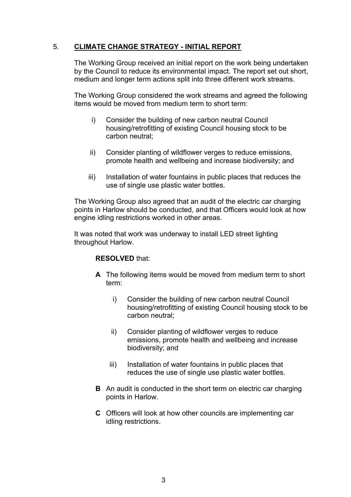## 5. **CLIMATE CHANGE STRATEGY - INITIAL REPORT**

The Working Group received an initial report on the work being undertaken by the Council to reduce its environmental impact. The report set out short, medium and longer term actions split into three different work streams.

The Working Group considered the work streams and agreed the following items would be moved from medium term to short term:

- i) Consider the building of new carbon neutral Council housing/retrofitting of existing Council housing stock to be carbon neutral;
- ii) Consider planting of wildflower verges to reduce emissions, promote health and wellbeing and increase biodiversity; and
- iii) Installation of water fountains in public places that reduces the use of single use plastic water bottles.

The Working Group also agreed that an audit of the electric car charging points in Harlow should be conducted, and that Officers would look at how engine idling restrictions worked in other areas.

It was noted that work was underway to install LED street lighting throughout Harlow.

#### **RESOLVED** that:

- **A** The following items would be moved from medium term to short term:
	- i) Consider the building of new carbon neutral Council housing/retrofitting of existing Council housing stock to be carbon neutral;
	- ii) Consider planting of wildflower verges to reduce emissions, promote health and wellbeing and increase biodiversity; and
	- iii) Installation of water fountains in public places that reduces the use of single use plastic water bottles.
- **B** An audit is conducted in the short term on electric car charging points in Harlow.
- **C** Officers will look at how other councils are implementing car idling restrictions.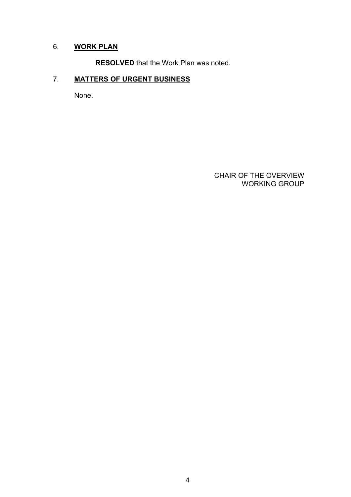## 6. **WORK PLAN**

**RESOLVED** that the Work Plan was noted.

## 7. **MATTERS OF URGENT BUSINESS**

None.

 CHAIR OF THE OVERVIEW WORKING GROUP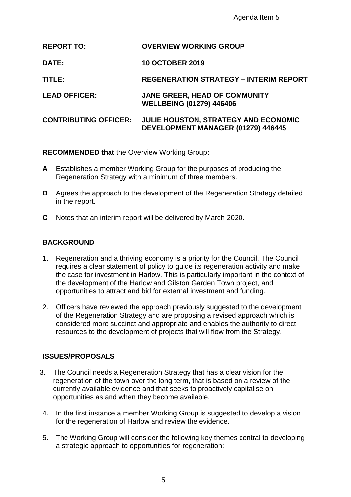| <b>REPORT TO:</b>            | <b>OVERVIEW WORKING GROUP</b>                                              |
|------------------------------|----------------------------------------------------------------------------|
| <b>DATE:</b>                 | <b>10 OCTOBER 2019</b>                                                     |
| TITLE:                       | <b>REGENERATION STRATEGY - INTERIM REPORT</b>                              |
| <b>LEAD OFFICER:</b>         | <b>JANE GREER, HEAD OF COMMUNITY</b><br><b>WELLBEING (01279) 446406</b>    |
| <b>CONTRIBUTING OFFICER:</b> | JULIE HOUSTON, STRATEGY AND ECONOMIC<br>DEVELOPMENT MANAGER (01279) 446445 |

**RECOMMENDED that** the Overview Working Group**:**

- **A** Establishes a member Working Group for the purposes of producing the Regeneration Strategy with a minimum of three members.
- **B** Agrees the approach to the development of the Regeneration Strategy detailed in the report.
- **C** Notes that an interim report will be delivered by March 2020.

## **BACKGROUND**

- 1. Regeneration and a thriving economy is a priority for the Council. The Council requires a clear statement of policy to guide its regeneration activity and make the case for investment in Harlow. This is particularly important in the context of the development of the Harlow and Gilston Garden Town project, and opportunities to attract and bid for external investment and funding.
- 2. Officers have reviewed the approach previously suggested to the development of the Regeneration Strategy and are proposing a revised approach which is considered more succinct and appropriate and enables the authority to direct resources to the development of projects that will flow from the Strategy.

## **ISSUES/PROPOSALS**

- 3. The Council needs a Regeneration Strategy that has a clear vision for the regeneration of the town over the long term, that is based on a review of the currently available evidence and that seeks to proactively capitalise on opportunities as and when they become available.
- 4. In the first instance a member Working Group is suggested to develop a vision for the regeneration of Harlow and review the evidence.
- 5. The Working Group will consider the following key themes central to developing a strategic approach to opportunities for regeneration: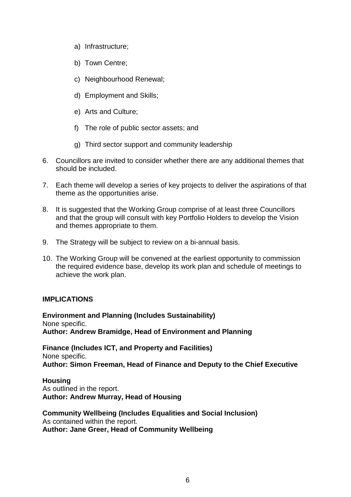- a) Infrastructure;
- b) Town Centre;
- c) Neighbourhood Renewal;
- d) Employment and Skills;
- e) Arts and Culture;
- f) The role of public sector assets; and
- g) Third sector support and community leadership
- 6. Councillors are invited to consider whether there are any additional themes that should be included.
- 7. Each theme will develop a series of key projects to deliver the aspirations of that theme as the opportunities arise.
- 8. It is suggested that the Working Group comprise of at least three Councillors and that the group will consult with key Portfolio Holders to develop the Vision and themes appropriate to them.
- 9. The Strategy will be subject to review on a bi-annual basis.
- 10. The Working Group will be convened at the earliest opportunity to commission the required evidence base, develop its work plan and schedule of meetings to achieve the work plan.

#### **IMPLICATIONS**

**Environment and Planning (Includes Sustainability)** None specific. **Author: Andrew Bramidge, Head of Environment and Planning**

**Finance (Includes ICT, and Property and Facilities)** None specific. **Author: Simon Freeman, Head of Finance and Deputy to the Chief Executive**

**Housing** As outlined in the report. **Author: Andrew Murray, Head of Housing**

**Community Wellbeing (Includes Equalities and Social Inclusion)** As contained within the report. **Author: Jane Greer, Head of Community Wellbeing**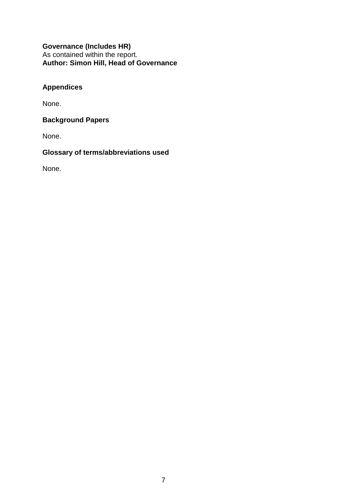**Governance (Includes HR)** As contained within the report. **Author: Simon Hill, Head of Governance**

## **Appendices**

None.

## **Background Papers**

None.

# **Glossary of terms/abbreviations used**

None.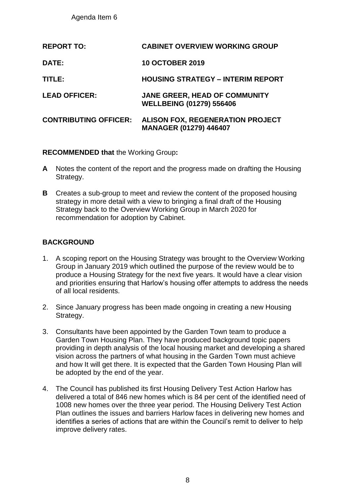| <b>REPORT TO:</b>            | <b>CABINET OVERVIEW WORKING GROUP</b>                                    |
|------------------------------|--------------------------------------------------------------------------|
| <b>DATE:</b>                 | <b>10 OCTOBER 2019</b>                                                   |
| TITLE:                       | <b>HOUSING STRATEGY - INTERIM REPORT</b>                                 |
| <b>LEAD OFFICER:</b>         | JANE GREER, HEAD OF COMMUNITY<br><b>WELLBEING (01279) 556406</b>         |
| <b>CONTRIBUTING OFFICER:</b> | <b>ALISON FOX, REGENERATION PROJECT</b><br><b>MANAGER (01279) 446407</b> |

## **RECOMMENDED that** the Working Group**:**

- **A** Notes the content of the report and the progress made on drafting the Housing Strategy.
- **B** Creates a sub-group to meet and review the content of the proposed housing strategy in more detail with a view to bringing a final draft of the Housing Strategy back to the Overview Working Group in March 2020 for recommendation for adoption by Cabinet.

## **BACKGROUND**

- 1. A scoping report on the Housing Strategy was brought to the Overview Working Group in January 2019 which outlined the purpose of the review would be to produce a Housing Strategy for the next five years. It would have a clear vision and priorities ensuring that Harlow's housing offer attempts to address the needs of all local residents.
- 2. Since January progress has been made ongoing in creating a new Housing Strategy.
- 3. Consultants have been appointed by the Garden Town team to produce a Garden Town Housing Plan. They have produced background topic papers providing in depth analysis of the local housing market and developing a shared vision across the partners of what housing in the Garden Town must achieve and how It will get there. It is expected that the Garden Town Housing Plan will be adopted by the end of the year.
- 4. The Council has published its first Housing Delivery Test Action Harlow has delivered a total of 846 new homes which is 84 per cent of the identified need of 1008 new homes over the three year period. The Housing Delivery Test Action Plan outlines the issues and barriers Harlow faces in delivering new homes and identifies a series of actions that are within the Council's remit to deliver to help improve delivery rates.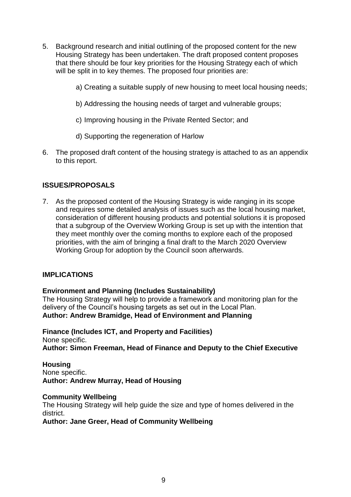- 5. Background research and initial outlining of the proposed content for the new Housing Strategy has been undertaken. The draft proposed content proposes that there should be four key priorities for the Housing Strategy each of which will be split in to key themes. The proposed four priorities are:
	- a) Creating a suitable supply of new housing to meet local housing needs;
	- b) Addressing the housing needs of target and vulnerable groups;
	- c) Improving housing in the Private Rented Sector; and
	- d) Supporting the regeneration of Harlow
- 6. The proposed draft content of the housing strategy is attached to as an appendix to this report.

## **ISSUES/PROPOSALS**

7. As the proposed content of the Housing Strategy is wide ranging in its scope and requires some detailed analysis of issues such as the local housing market, consideration of different housing products and potential solutions it is proposed that a subgroup of the Overview Working Group is set up with the intention that they meet monthly over the coming months to explore each of the proposed priorities, with the aim of bringing a final draft to the March 2020 Overview Working Group for adoption by the Council soon afterwards.

#### **IMPLICATIONS**

**Environment and Planning (Includes Sustainability)**

The Housing Strategy will help to provide a framework and monitoring plan for the delivery of the Council's housing targets as set out in the Local Plan. **Author: Andrew Bramidge, Head of Environment and Planning**

**Finance (Includes ICT, and Property and Facilities)** None specific. **Author: Simon Freeman, Head of Finance and Deputy to the Chief Executive**

#### **Housing**

None specific. **Author: Andrew Murray, Head of Housing**

#### **Community Wellbeing**

The Housing Strategy will help guide the size and type of homes delivered in the district.

**Author: Jane Greer, Head of Community Wellbeing**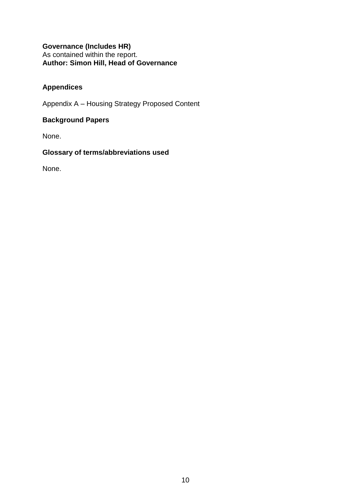## **Governance (Includes HR)** As contained within the report. **Author: Simon Hill, Head of Governance**

## **Appendices**

Appendix A – Housing Strategy Proposed Content

## **Background Papers**

None.

## **Glossary of terms/abbreviations used**

None.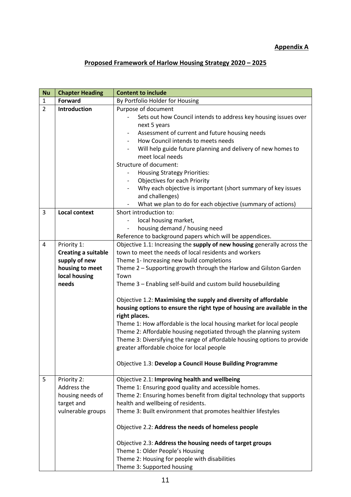## **Appendix A**

# **Proposed Framework of Harlow Housing Strategy 2020 – 2025**

| <b>Nu</b>      | <b>Chapter Heading</b>     | <b>Content to include</b>                                                                 |  |  |  |  |  |
|----------------|----------------------------|-------------------------------------------------------------------------------------------|--|--|--|--|--|
| $\mathbf{1}$   | <b>Forward</b>             | By Portfolio Holder for Housing                                                           |  |  |  |  |  |
| $\overline{2}$ | <b>Introduction</b>        | Purpose of document                                                                       |  |  |  |  |  |
|                |                            | Sets out how Council intends to address key housing issues over                           |  |  |  |  |  |
|                |                            | next 5 years                                                                              |  |  |  |  |  |
|                |                            | Assessment of current and future housing needs                                            |  |  |  |  |  |
|                |                            | How Council intends to meets needs                                                        |  |  |  |  |  |
|                |                            | Will help guide future planning and delivery of new homes to                              |  |  |  |  |  |
|                |                            | meet local needs                                                                          |  |  |  |  |  |
|                |                            | Structure of document:                                                                    |  |  |  |  |  |
|                |                            | <b>Housing Strategy Priorities:</b>                                                       |  |  |  |  |  |
|                |                            | Objectives for each Priority                                                              |  |  |  |  |  |
|                |                            | Why each objective is important (short summary of key issues                              |  |  |  |  |  |
|                |                            | and challenges)                                                                           |  |  |  |  |  |
|                |                            | What we plan to do for each objective (summary of actions)                                |  |  |  |  |  |
| $\overline{3}$ | <b>Local context</b>       | Short introduction to:                                                                    |  |  |  |  |  |
|                |                            | local housing market,                                                                     |  |  |  |  |  |
|                |                            | housing demand / housing need                                                             |  |  |  |  |  |
|                |                            | Reference to background papers which will be appendices.                                  |  |  |  |  |  |
| $\overline{4}$ | Priority 1:                | Objective 1.1: Increasing the supply of new housing generally across the                  |  |  |  |  |  |
|                | <b>Creating a suitable</b> | town to meet the needs of local residents and workers                                     |  |  |  |  |  |
|                | supply of new              | Theme 1- Increasing new build completions                                                 |  |  |  |  |  |
|                | housing to meet            | Theme 2 - Supporting growth through the Harlow and Gilston Garden                         |  |  |  |  |  |
|                | local housing              | Town                                                                                      |  |  |  |  |  |
|                | needs                      | Theme 3 - Enabling self-build and custom build housebuilding                              |  |  |  |  |  |
|                |                            | Objective 1.2: Maximising the supply and diversity of affordable                          |  |  |  |  |  |
|                |                            | housing options to ensure the right type of housing are available in the<br>right places. |  |  |  |  |  |
|                |                            | Theme 1: How affordable is the local housing market for local people                      |  |  |  |  |  |
|                |                            | Theme 2: Affordable housing negotiated through the planning system                        |  |  |  |  |  |
|                |                            | Theme 3: Diversifying the range of affordable housing options to provide                  |  |  |  |  |  |
|                |                            | greater affordable choice for local people                                                |  |  |  |  |  |
|                |                            |                                                                                           |  |  |  |  |  |
|                |                            | Objective 1.3: Develop a Council House Building Programme                                 |  |  |  |  |  |
| 5              | Priority 2:                | Objective 2.1: Improving health and wellbeing                                             |  |  |  |  |  |
|                | Address the                | Theme 1: Ensuring good quality and accessible homes.                                      |  |  |  |  |  |
|                | housing needs of           | Theme 2: Ensuring homes benefit from digital technology that supports                     |  |  |  |  |  |
|                | target and                 | health and wellbeing of residents.                                                        |  |  |  |  |  |
|                | vulnerable groups          | Theme 3: Built environment that promotes healthier lifestyles                             |  |  |  |  |  |
|                |                            |                                                                                           |  |  |  |  |  |
|                |                            | Objective 2.2: Address the needs of homeless people                                       |  |  |  |  |  |
|                |                            | Objective 2.3: Address the housing needs of target groups                                 |  |  |  |  |  |
|                |                            | Theme 1: Older People's Housing                                                           |  |  |  |  |  |
|                |                            |                                                                                           |  |  |  |  |  |
|                |                            | Theme 2: Housing for people with disabilities                                             |  |  |  |  |  |
|                |                            | Theme 3: Supported housing                                                                |  |  |  |  |  |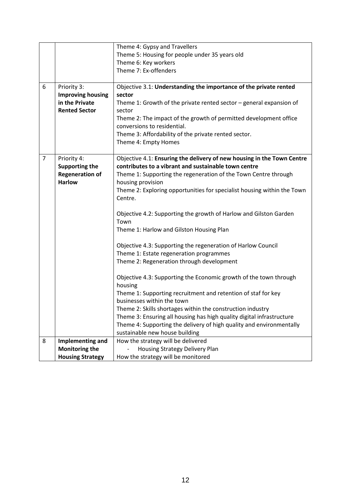|                |                          | Theme 4: Gypsy and Travellers                                           |  |  |  |  |  |
|----------------|--------------------------|-------------------------------------------------------------------------|--|--|--|--|--|
|                |                          | Theme 5: Housing for people under 35 years old                          |  |  |  |  |  |
|                |                          | Theme 6: Key workers                                                    |  |  |  |  |  |
|                |                          |                                                                         |  |  |  |  |  |
|                |                          | Theme 7: Ex-offenders                                                   |  |  |  |  |  |
| 6              | Priority 3:              | Objective 3.1: Understanding the importance of the private rented       |  |  |  |  |  |
|                | <b>Improving housing</b> | sector                                                                  |  |  |  |  |  |
|                | in the Private           | Theme 1: Growth of the private rented sector - general expansion of     |  |  |  |  |  |
|                | <b>Rented Sector</b>     | sector                                                                  |  |  |  |  |  |
|                |                          | Theme 2: The impact of the growth of permitted development office       |  |  |  |  |  |
|                |                          | conversions to residential.                                             |  |  |  |  |  |
|                |                          | Theme 3: Affordability of the private rented sector.                    |  |  |  |  |  |
|                |                          | Theme 4: Empty Homes                                                    |  |  |  |  |  |
|                |                          |                                                                         |  |  |  |  |  |
| $\overline{7}$ | Priority 4:              | Objective 4.1: Ensuring the delivery of new housing in the Town Centre  |  |  |  |  |  |
|                | <b>Supporting the</b>    | contributes to a vibrant and sustainable town centre                    |  |  |  |  |  |
|                | <b>Regeneration of</b>   | Theme 1: Supporting the regeneration of the Town Centre through         |  |  |  |  |  |
|                | <b>Harlow</b>            | housing provision                                                       |  |  |  |  |  |
|                |                          | Theme 2: Exploring opportunities for specialist housing within the Town |  |  |  |  |  |
|                |                          | Centre.                                                                 |  |  |  |  |  |
|                |                          |                                                                         |  |  |  |  |  |
|                |                          | Objective 4.2: Supporting the growth of Harlow and Gilston Garden       |  |  |  |  |  |
|                |                          | Town                                                                    |  |  |  |  |  |
|                |                          | Theme 1: Harlow and Gilston Housing Plan                                |  |  |  |  |  |
|                |                          | Objective 4.3: Supporting the regeneration of Harlow Council            |  |  |  |  |  |
|                |                          | Theme 1: Estate regeneration programmes                                 |  |  |  |  |  |
|                |                          | Theme 2: Regeneration through development                               |  |  |  |  |  |
|                |                          |                                                                         |  |  |  |  |  |
|                |                          | Objective 4.3: Supporting the Economic growth of the town through       |  |  |  |  |  |
|                |                          | housing                                                                 |  |  |  |  |  |
|                |                          | Theme 1: Supporting recruitment and retention of staf for key           |  |  |  |  |  |
|                |                          | businesses within the town                                              |  |  |  |  |  |
|                |                          | Theme 2: Skills shortages within the construction industry              |  |  |  |  |  |
|                |                          | Theme 3: Ensuring all housing has high quality digital infrastructure   |  |  |  |  |  |
|                |                          | Theme 4: Supporting the delivery of high quality and environmentally    |  |  |  |  |  |
|                |                          | sustainable new house building                                          |  |  |  |  |  |
| 8              | Implementing and         | How the strategy will be delivered                                      |  |  |  |  |  |
|                | <b>Monitoring the</b>    | Housing Strategy Delivery Plan                                          |  |  |  |  |  |
|                | <b>Housing Strategy</b>  | How the strategy will be monitored                                      |  |  |  |  |  |